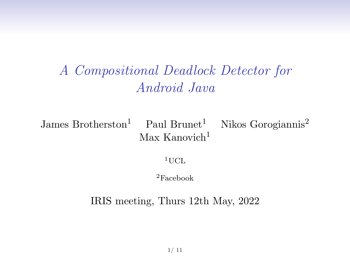## A Compositional Deadlock Detector for Android Java

James Brotherston<sup>1</sup> Paul Brunet<sup>1</sup> Nikos Gorogiannis<sup>2</sup>  $Max$  Kanovich<sup>1</sup>

 $1$ UCL

<sup>2</sup>Facebook

IRIS meeting, Thurs 12th May, 2022

1/ 11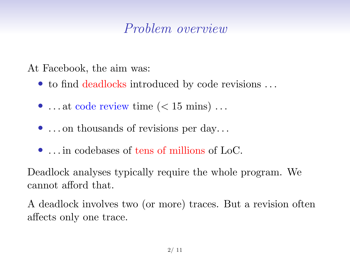## Problem overview

At Facebook, the aim was:

- to find deadlocks introduced by code revisions ...
- ... at code review time  $(< 15 \text{ mins})$ ...
- ... on thousands of revisions per day...
- ... in codebases of tens of millions of LoC.

Deadlock analyses typically require the whole program. We cannot afford that.

A deadlock involves two (or more) traces. But a revision often affects only one trace.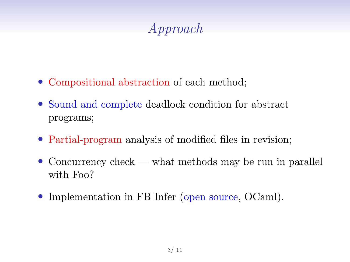# Approach

- Compositional abstraction of each method;
- Sound and complete deadlock condition for abstract programs;
- Partial-program analysis of modified files in revision;
- Concurrency check what methods may be run in parallel with Foo?
- Implementation in FB Infer (open source, OCaml).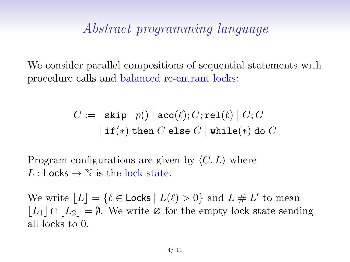### Abstract programming language

We consider parallel compositions of sequential statements with procedure calls and balanced re-entrant locks:

$$
C := \begin{array}{c} \mathtt{skip} \, | \, p() \mid \mathtt{acq}(\ell); C; \mathtt{rel}(\ell) \mid C; C \\[1ex] |\, \mathtt{if}(\ast) \text{ then } C \text{ else } C \mid \mathtt{while}(\ast) \text{ do } C \end{array}
$$

Program configurations are given by  $\langle C, L \rangle$  where L : Locks  $\rightarrow$  N is the lock state.

We write  $|L| = {\ell \in \textsf{Locks} \mid L(\ell) > 0}$  and  $L \# L'$  to mean  $|L_1 \cap L_2| = \emptyset$ . We write ∅ for the empty lock state sending all locks to 0.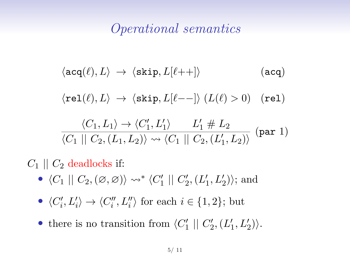### Operational semantics

$$
\langle \mathrm{acq}(\ell), L \rangle \rightarrow \langle \mathrm{skip}, L[\ell + +] \rangle \tag{acq}
$$
\n
$$
\langle \mathrm{rel}(\ell), L \rangle \rightarrow \langle \mathrm{skip}, L[\ell - -] \rangle \left( L(\ell) > 0 \right) \quad (\mathrm{rel})
$$
\n
$$
\frac{\langle C_1, L_1 \rangle \rightarrow \langle C_1', L_1' \rangle}{\langle C_1 || C_2, (L_1, L_2) \rangle \leadsto \langle C_1 || C_2, (L_1', L_2) \rangle} \quad (\mathrm{par}\ 1)
$$

 $C_1 \parallel C_2$  deadlocks if:

- $\langle C_1 | | C_2, (\emptyset, \emptyset) \rangle \rightsquigarrow^* \langle C_1' | | C_2', (L_1', L_2') \rangle$ ; and
- $\langle C_i', L_i' \rangle \to \langle C_i'', L_i'' \rangle$  for each  $i \in \{1, 2\}$ ; but
- there is no transition from  $\langle C'_1 | | C'_2, (L'_1, L'_2) \rangle$ .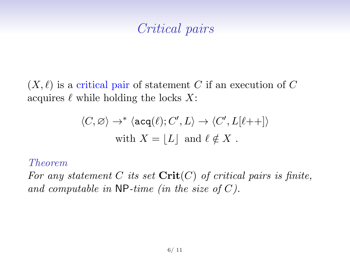## Critical pairs

 $(X, \ell)$  is a critical pair of statement C if an execution of C acquires  $\ell$  while holding the locks X:

$$
\begin{aligned} \langle C,\varnothing\rangle &\to^*\langle \mathtt{acq}(\ell);C',L\rangle \to \langle C',L[\ell{+}+] \rangle\\ \text{with}\ X&=\lfloor L\rfloor\ \text{and}\ \ell\notin X\ . \end{aligned}
$$

#### Theorem

For any statement C its set  $\mathrm{Crit}(C)$  of critical pairs is finite, and computable in  $\mathsf{NP}\text{-}\mathit{time}$  (in the size of C).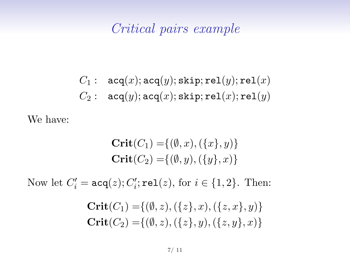### Critical pairs example

$$
C_1: \quad \texttt{acq}(x); \texttt{acq}(y); \texttt{skip}; \texttt{rel}(y); \texttt{rel}(x)\\ C_2: \quad \texttt{acq}(y); \texttt{acq}(x); \texttt{skip}; \texttt{rel}(x); \texttt{rel}(y)
$$

We have:

$$
Crit(C_1) = \{ (\emptyset, x), (\{x\}, y) \}
$$
  
Crit(C<sub>2</sub>) = \{ (\emptyset, y), (\{y\}, x) \}

Now let  $C_i' = \texttt{acq}(z); C_i'; \texttt{rel}(z), \text{ for } i \in \{1,2\}.$  Then:

$$
Crit(C_1) = \{ (\emptyset, z), (\{z\}, x), (\{z, x\}, y) \}
$$
  
 
$$
Crit(C_2) = \{ (\emptyset, z), (\{z\}, y), (\{z, y\}, x) \}
$$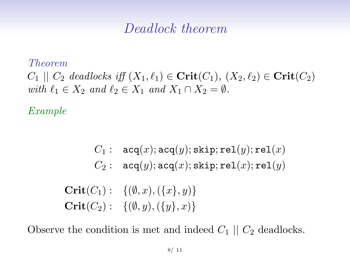### Deadlock theorem

#### Theorem

 $C_1 \parallel C_2$  deadlocks iff  $(X_1, \ell_1) \in \mathbf{Crit}(C_1), (X_2, \ell_2) \in \mathbf{Crit}(C_2)$ with  $\ell_1 \in X_2$  and  $\ell_2 \in X_1$  and  $X_1 \cap X_2 = \emptyset$ .

#### Example

 $C_1$ :  $\texttt{acq}(x)$ ;  $\texttt{acq}(y)$ ;  $\texttt{skip}$ ;  $\texttt{rel}(y)$ ;  $\texttt{rel}(x)$  $C_2$ :  $acq(y); acq(x); skip; rel(x); rel(y)$ **Crit** $(C_1)$ : { $(\emptyset, x)$ , { $\{x\}, y$ }  $\text{Crit}(C_2): \{(\emptyset, y), (\{y\}, x)\}\$ 

Observe the condition is met and indeed  $C_1 \parallel C_2$  deadlocks.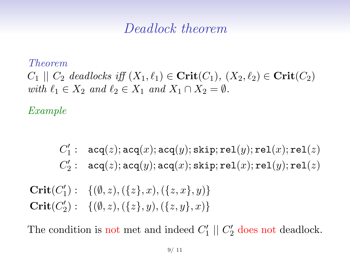### Deadlock theorem

#### Theorem

 $C_1 \parallel C_2$  deadlocks iff  $(X_1, \ell_1) \in \mathbf{Crit}(C_1), (X_2, \ell_2) \in \mathbf{Crit}(C_2)$ with  $\ell_1 \in X_2$  and  $\ell_2 \in X_1$  and  $X_1 \cap X_2 = \emptyset$ .

#### Example

$$
C'_1: \begin{array}{l} \mathtt{acq}(z);\mathtt{acq}(x);\mathtt{acq}(y);\mathtt{skip};\mathtt{rel}(y);\mathtt{rel}(x);\mathtt{rel}(z)\\ C'_2: \end{array} \\ \mathtt{acq}(z);\mathtt{acq}(y);\mathtt{acq}(x);\mathtt{skip};\mathtt{rel}(x);\mathtt{rel}(y);\mathtt{rel}(z) \end{array}
$$

Crit $(C'_1): \{( \emptyset, z), (\{ z \}, x), (\{ z, x \}, y) \}$ Crit $(C'_2): \{(0, z), (\{z\}, y), (\{z, y\}, x)\}\$ 

The condition is not met and indeed  $C_1' \parallel C_2'$  does not deadlock.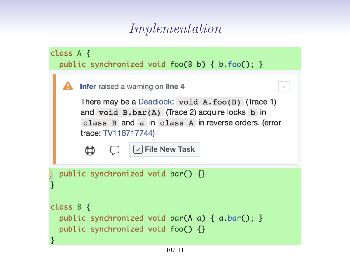## Implementation